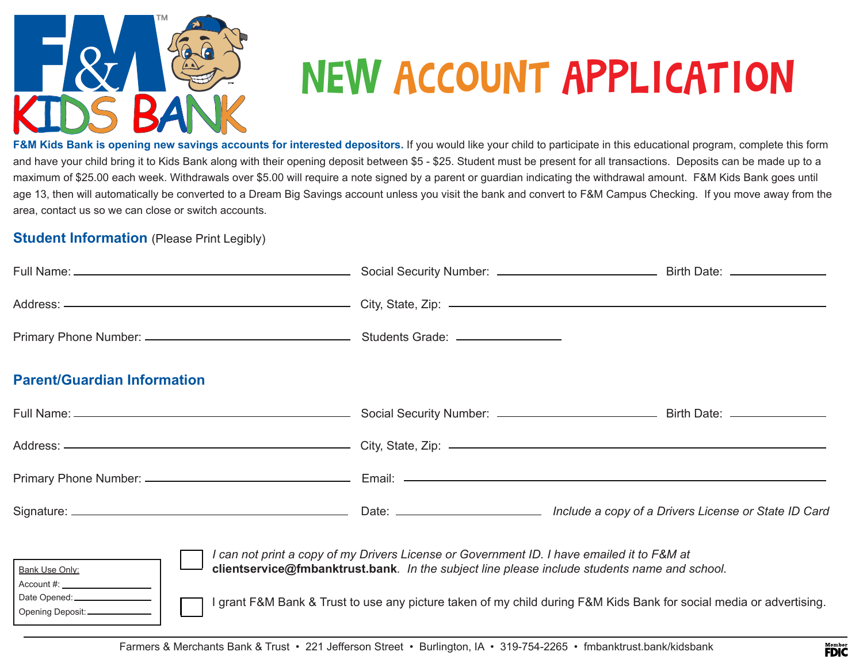

# NEW ACCOUNT APPLICATION

F&M Kids Bank is opening new savings accounts for interested depositors. If you would like your child to participate in this educational program, complete this form and have your child bring it to Kids Bank along with their opening deposit between \$5 - \$25. Student must be present for all transactions. Deposits can be made up to a maximum of \$25.00 each week. Withdrawals over \$5.00 will require a note signed by a parent or guardian indicating the withdrawal amount. F&M Kids Bank goes until age 13, then will automatically be converted to a Dream Big Savings account unless you visit the bank and convert to F&M Campus Checking. If you move away from the area, contact us so we can close or switch accounts.

#### **Student Information** (Please Print Legibly)

| Address: ————————————————————————————City, State, Zip: —————————————————————————                                                                                                                                                                                                                                                                       |  |  |  |
|--------------------------------------------------------------------------------------------------------------------------------------------------------------------------------------------------------------------------------------------------------------------------------------------------------------------------------------------------------|--|--|--|
|                                                                                                                                                                                                                                                                                                                                                        |  |  |  |
| <b>Parent/Guardian Information</b>                                                                                                                                                                                                                                                                                                                     |  |  |  |
|                                                                                                                                                                                                                                                                                                                                                        |  |  |  |
|                                                                                                                                                                                                                                                                                                                                                        |  |  |  |
|                                                                                                                                                                                                                                                                                                                                                        |  |  |  |
|                                                                                                                                                                                                                                                                                                                                                        |  |  |  |
| I can not print a copy of my Drivers License or Government ID. I have emailed it to F&M at<br>clientservice@fmbanktrust.bank. In the subject line please include students name and school.<br><b>Bank Use Only:</b><br>Account #:<br>grant F&M Bank & Trust to use any picture taken of my child during F&M Kids Bank for social media or advertising. |  |  |  |